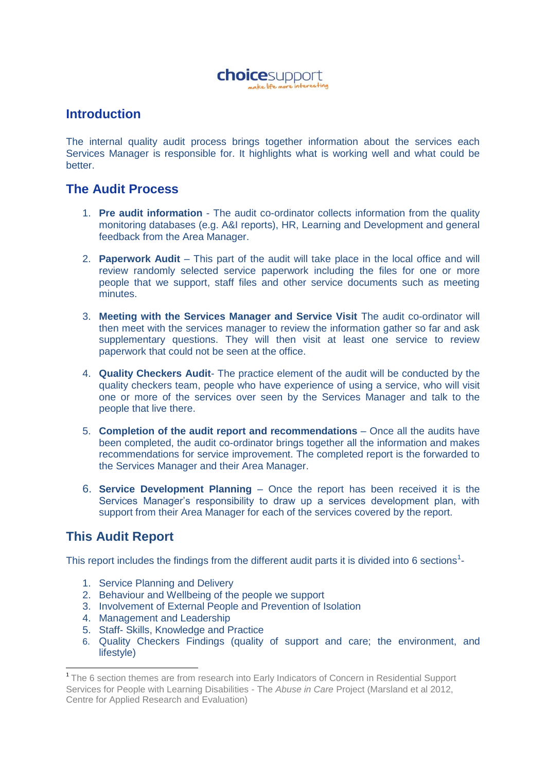

## **Introduction**

The internal quality audit process brings together information about the services each Services Manager is responsible for. It highlights what is working well and what could be better.

## **The Audit Process**

- 1. **Pre audit information** The audit co-ordinator collects information from the quality monitoring databases (e.g. A&I reports), HR, Learning and Development and general feedback from the Area Manager.
- 2. **Paperwork Audit**  This part of the audit will take place in the local office and will review randomly selected service paperwork including the files for one or more people that we support, staff files and other service documents such as meeting minutes.
- 3. **Meeting with the Services Manager and Service Visit** The audit co-ordinator will then meet with the services manager to review the information gather so far and ask supplementary questions. They will then visit at least one service to review paperwork that could not be seen at the office.
- 4. **Quality Checkers Audit** The practice element of the audit will be conducted by the quality checkers team, people who have experience of using a service, who will visit one or more of the services over seen by the Services Manager and talk to the people that live there.
- 5. **Completion of the audit report and recommendations** Once all the audits have been completed, the audit co-ordinator brings together all the information and makes recommendations for service improvement. The completed report is the forwarded to the Services Manager and their Area Manager.
- 6. **Service Development Planning** Once the report has been received it is the Services Manager's responsibility to draw up a services development plan, with support from their Area Manager for each of the services covered by the report.

## **This Audit Report**

1

This report includes the findings from the different audit parts it is divided into 6 sections<sup>1</sup>-

- 1. Service Planning and Delivery
- 2. Behaviour and Wellbeing of the people we support
- 3. Involvement of External People and Prevention of Isolation
- 4. Management and Leadership
- 5. Staff- Skills, Knowledge and Practice
- 6. Quality Checkers Findings (quality of support and care; the environment, and lifestyle)

<sup>&</sup>lt;sup>1</sup> The 6 section themes are from research into Early Indicators of Concern in Residential Support Services for People with Learning Disabilities - The *Abuse in Care* Project (Marsland et al 2012, Centre for Applied Research and Evaluation)